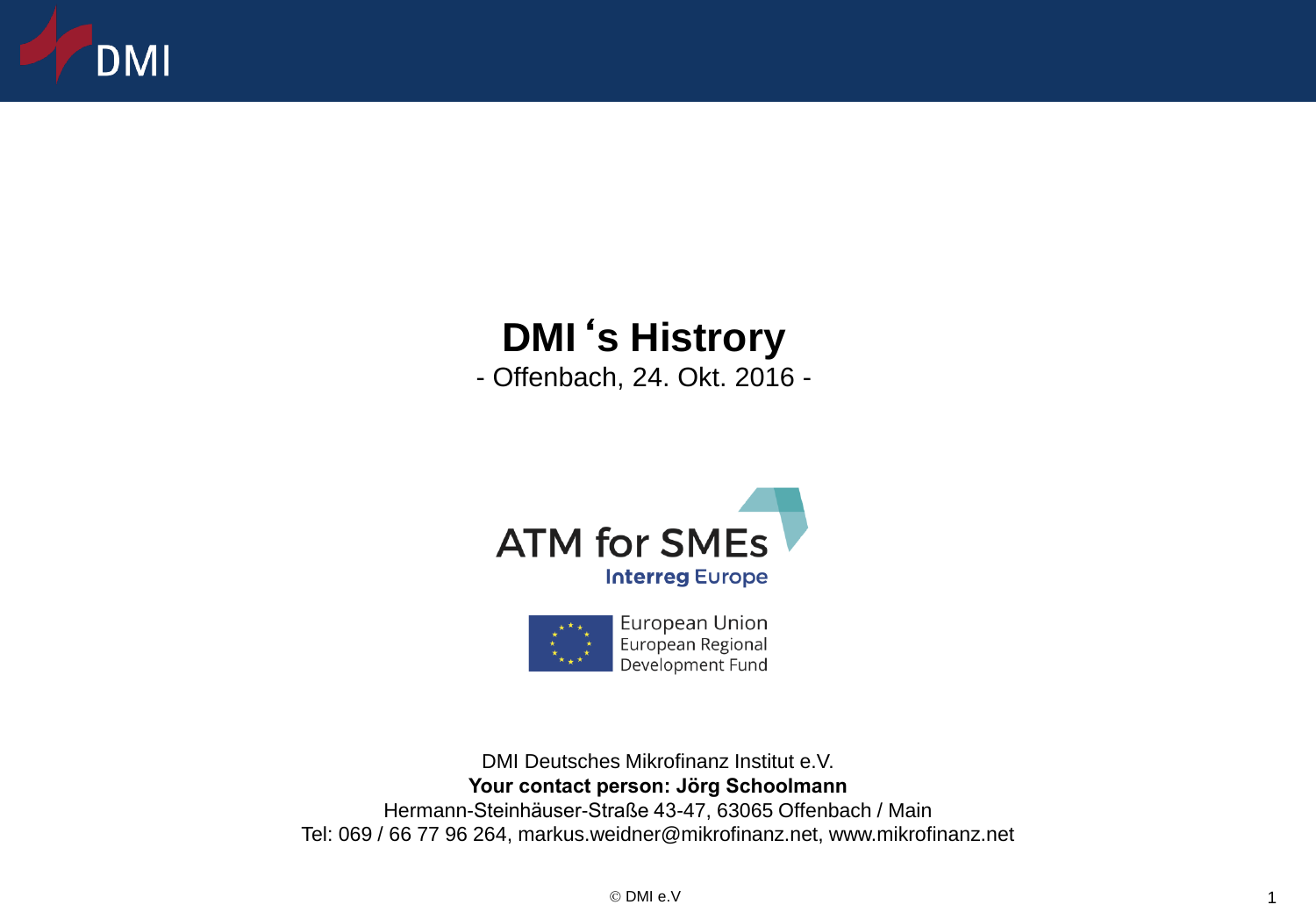

# **DMI**'**s Histrory**

- Offenbach, 24. Okt. 2016 -





DMI Deutsches Mikrofinanz Institut e.V. **Your contact person: Jörg Schoolmann** Hermann-Steinhäuser-Straße 43-47, 63065 Offenbach / Main Tel: 069 / 66 77 96 264, markus.weidner@mikrofinanz.net, www.mikrofinanz.net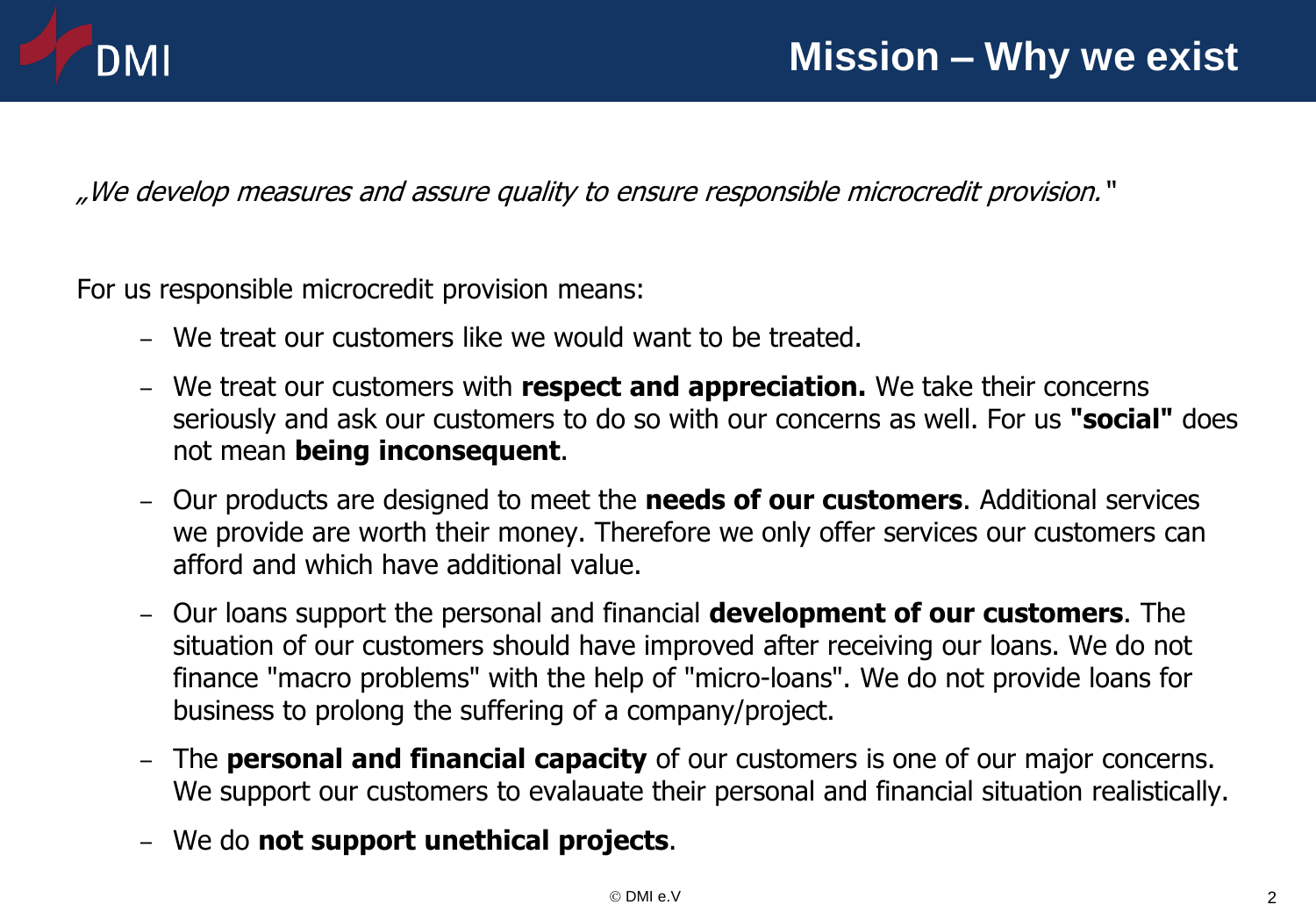

"We develop measures and assure quality to ensure responsible microcredit provision."

For us responsible microcredit provision means:

- We treat our customers like we would want to be treated.
- We treat our customers with **respect and appreciation.** We take their concerns seriously and ask our customers to do so with our concerns as well. For us **"social"** does not mean **being inconsequent**.
- Our products are designed to meet the **needs of our customers**. Additional services we provide are worth their money. Therefore we only offer services our customers can afford and which have additional value.
- Our loans support the personal and financial **development of our customers**. The situation of our customers should have improved after receiving our loans. We do not finance "macro problems" with the help of "micro-loans". We do not provide loans for business to prolong the suffering of a company/project.
- The **personal and financial capacity** of our customers is one of our major concerns. We support our customers to evalauate their personal and financial situation realistically.
- We do **not support unethical projects**.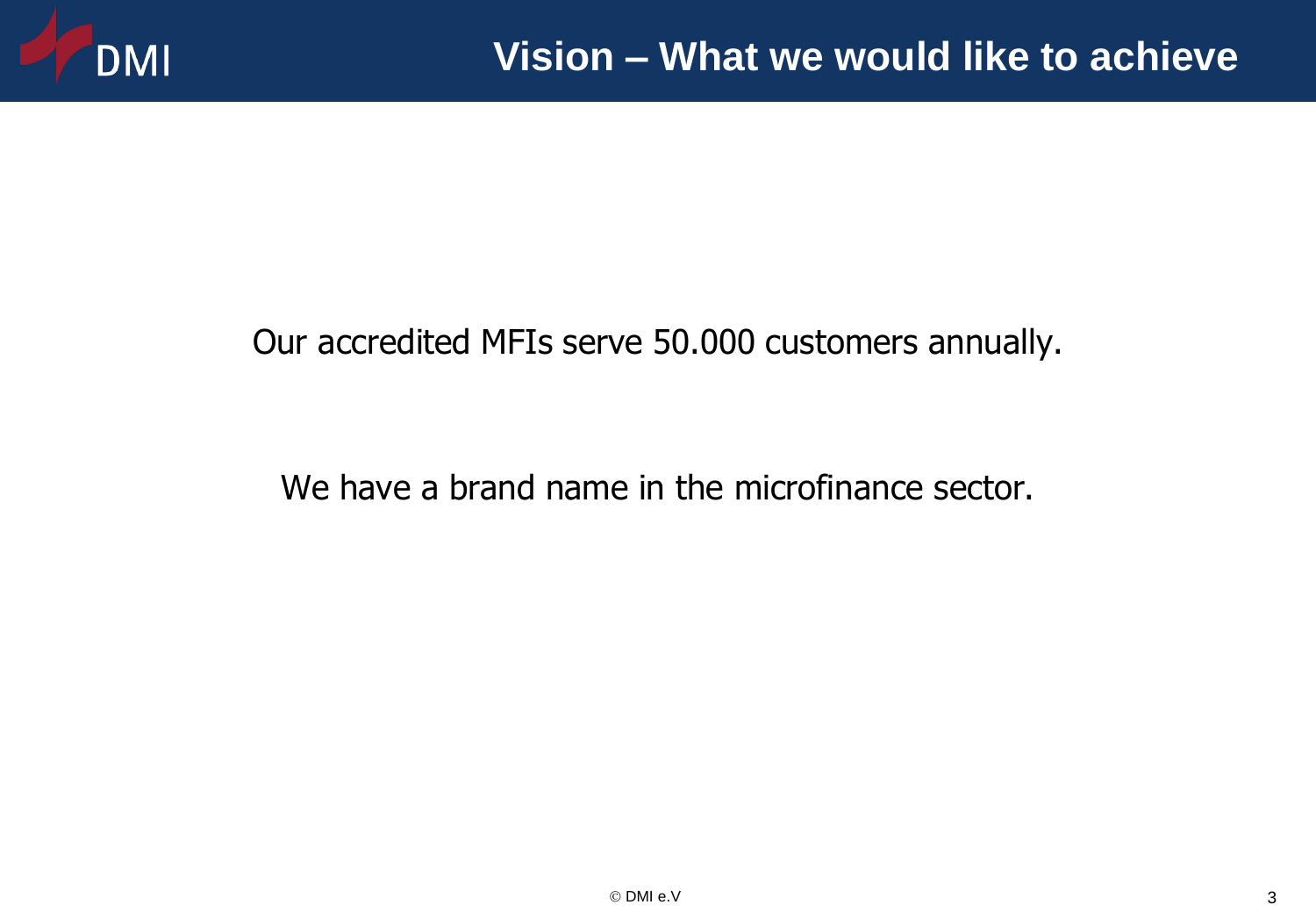

### Our accredited MFIs serve 50.000 customers annually.

### We have a brand name in the microfinance sector.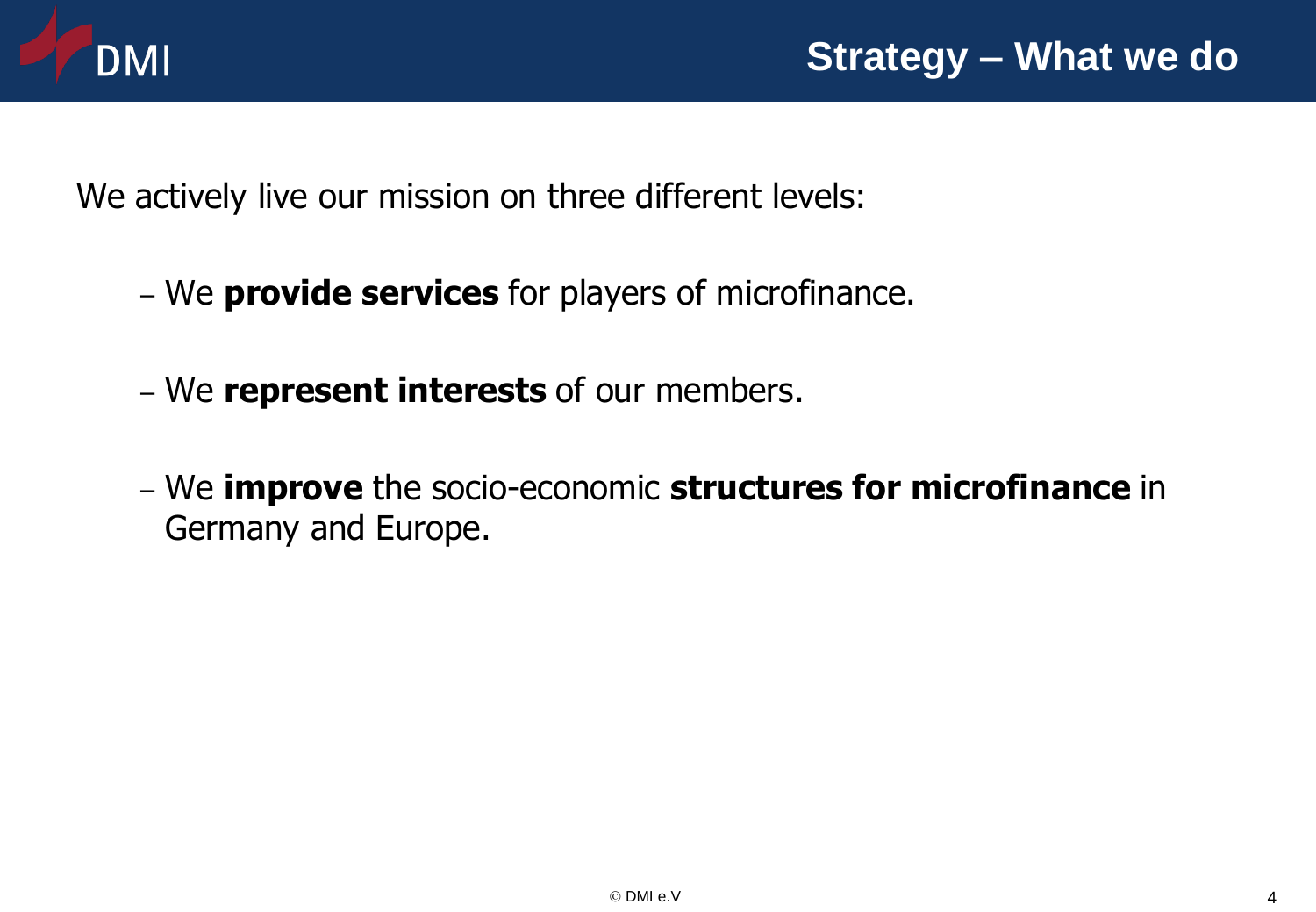

We actively live our mission on three different levels:

- We **provide services** for players of microfinance.
- We **represent interests** of our members.
- We **improve** the socio-economic **structures for microfinance** in Germany and Europe.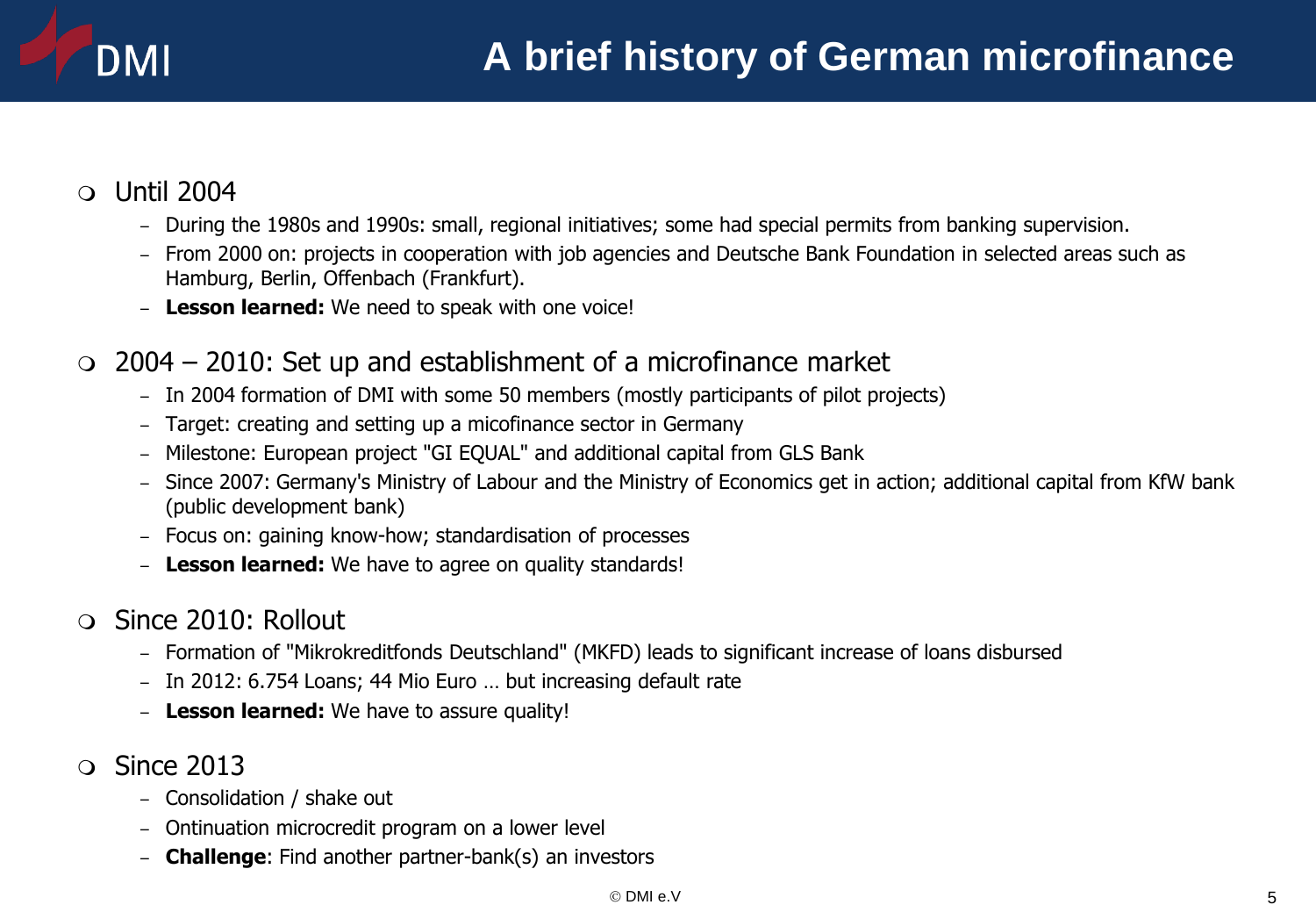#### Until 2004

DMI

- During the 1980s and 1990s: small, regional initiatives; some had special permits from banking supervision.
- From 2000 on: projects in cooperation with job agencies and Deutsche Bank Foundation in selected areas such as Hamburg, Berlin, Offenbach (Frankfurt).
- **Lesson learned:** We need to speak with one voice!

#### $\circ$  2004 – 2010: Set up and establishment of a microfinance market

- In 2004 formation of DMI with some 50 members (mostly participants of pilot projects)
- Target: creating and setting up a micofinance sector in Germany
- Milestone: European project "GI EQUAL" and additional capital from GLS Bank
- Since 2007: Germany's Ministry of Labour and the Ministry of Economics get in action; additional capital from KfW bank (public development bank)
- Focus on: gaining know-how; standardisation of processes
- **Lesson learned:** We have to agree on quality standards!

#### Since 2010: Rollout

- Formation of "Mikrokreditfonds Deutschland" (MKFD) leads to significant increase of loans disbursed
- In 2012: 6.754 Loans; 44 Mio Euro … but increasing default rate
- **Lesson learned:** We have to assure quality!
- $\Omega$  Since 2013
	- Consolidation / shake out
	- Ontinuation microcredit program on a lower level
	- **Challenge**: Find another partner-bank(s) an investors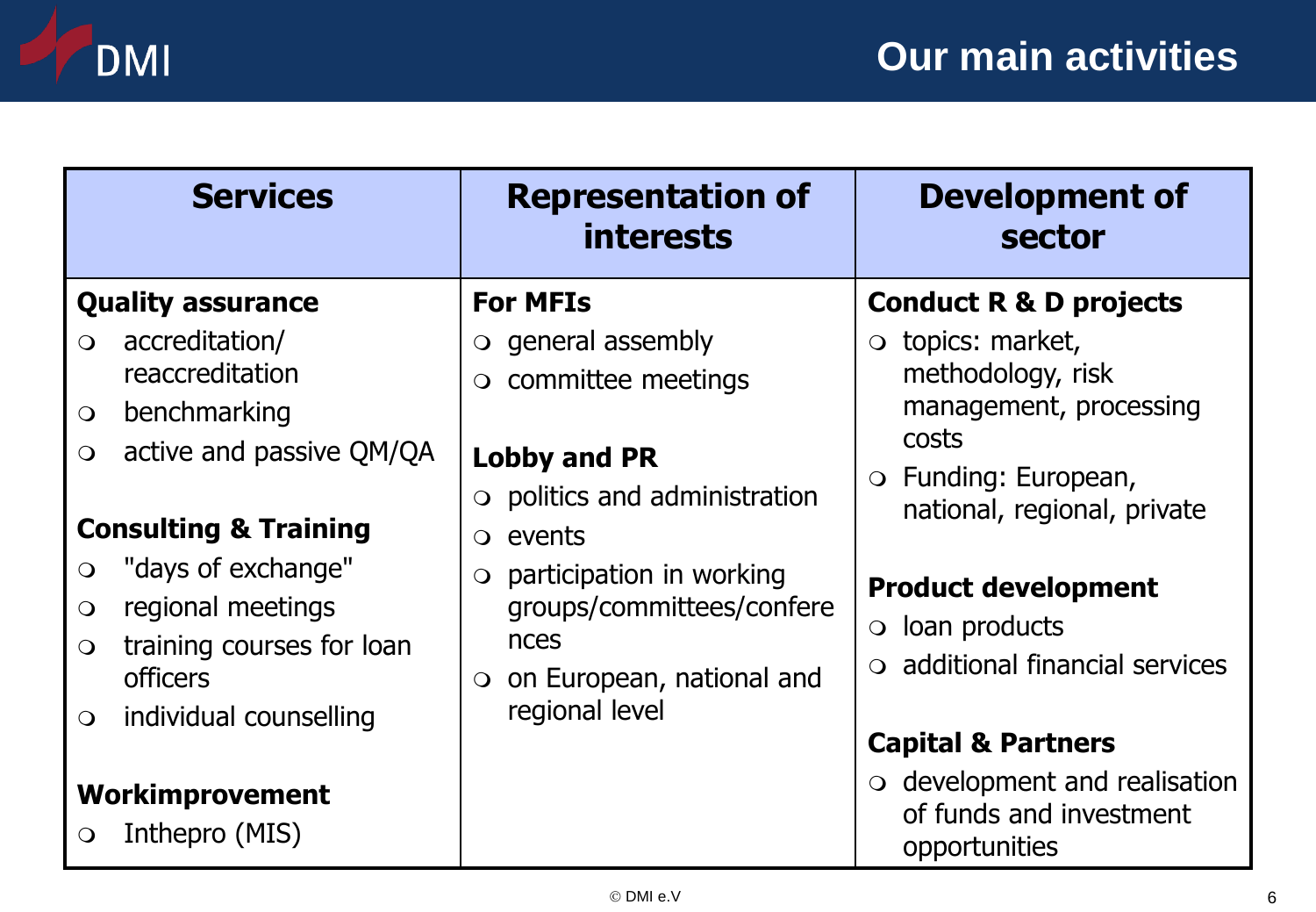

| <b>Services</b>                                                                                                                                                                                                                                                                                           | <b>Representation of</b><br><i>interests</i>                                                                                                                                                                                                                                                    | <b>Development of</b><br>sector                                                                                                                                                                                                                                                                                                                                                                       |
|-----------------------------------------------------------------------------------------------------------------------------------------------------------------------------------------------------------------------------------------------------------------------------------------------------------|-------------------------------------------------------------------------------------------------------------------------------------------------------------------------------------------------------------------------------------------------------------------------------------------------|-------------------------------------------------------------------------------------------------------------------------------------------------------------------------------------------------------------------------------------------------------------------------------------------------------------------------------------------------------------------------------------------------------|
| <b>Quality assurance</b><br>accreditation/<br>$\Omega$<br>reaccreditation<br>benchmarking<br>$\bigcirc$<br>active and passive QM/QA<br>$\overline{O}$<br><b>Consulting &amp; Training</b><br>"days of exchange"<br>$\bigcirc$<br>regional meetings<br>$\bigcirc$<br>training courses for loan<br>$\Omega$ | <b>For MFIs</b><br>$\circ$ general assembly<br>o committee meetings<br><b>Lobby and PR</b><br>$\circ$ politics and administration<br>$\circ$ events<br>participation in working<br>$\bigcirc$<br>groups/committees/confere<br>nces<br>on European, national and<br>$\bigcirc$<br>regional level | <b>Conduct R &amp; D projects</b><br>$\circ$ topics: market,<br>methodology, risk<br>management, processing<br>costs<br>$\circ$ Funding: European,<br>national, regional, private<br><b>Product development</b><br>$\circ$ loan products<br>$\circ$ additional financial services<br><b>Capital &amp; Partners</b><br>$\circ$ development and realisation<br>of funds and investment<br>opportunities |
| <b>officers</b><br>individual counselling<br>$\bigcirc$<br><b>Workimprovement</b><br>Inthepro (MIS)<br>$\bigcirc$                                                                                                                                                                                         |                                                                                                                                                                                                                                                                                                 |                                                                                                                                                                                                                                                                                                                                                                                                       |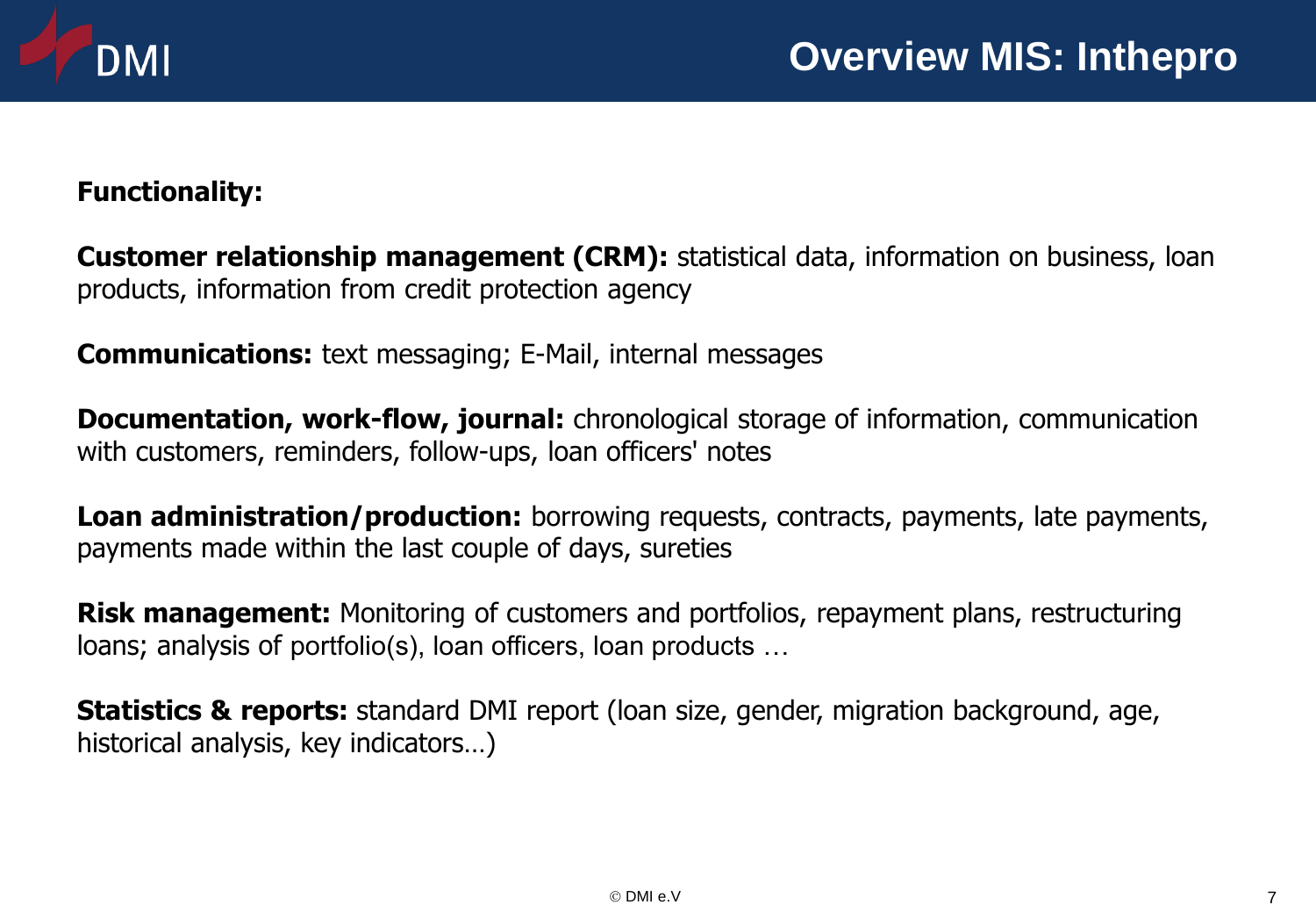

#### **Functionality:**

**Customer relationship management (CRM):** statistical data, information on business, loan products, information from credit protection agency

**Communications:** text messaging; E-Mail, internal messages

**Documentation, work-flow, journal:** chronological storage of information, communication with customers, reminders, follow-ups, loan officers' notes

**Loan administration/production:** borrowing requests, contracts, payments, late payments, payments made within the last couple of days, sureties

**Risk management:** Monitoring of customers and portfolios, repayment plans, restructuring loans; analysis of portfolio(s), loan officers, loan products …

**Statistics & reports:** standard DMI report (loan size, gender, migration background, age, historical analysis, key indicators…)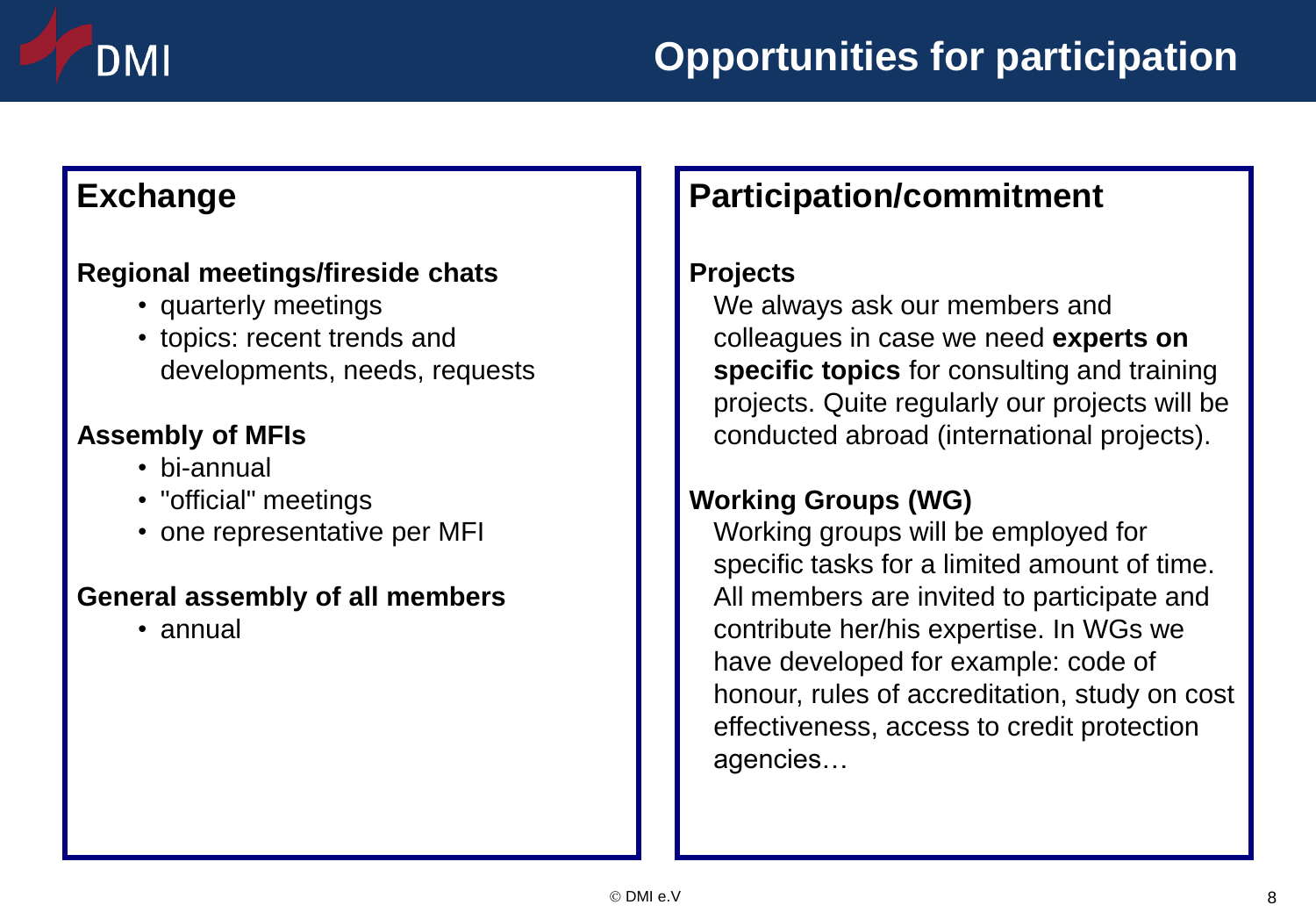# DMI

## **Exchange**

#### **Regional meetings/fireside chats**

- quarterly meetings
- topics: recent trends and developments, needs, requests

#### **Assembly of MFIs**

- bi-annual
- "official" meetings
- one representative per MFI

#### **General assembly of all members**

• annual

# **Participation/commitment**

#### **Projects**

We always ask our members and colleagues in case we need **experts on specific topics** for consulting and training projects. Quite regularly our projects will be conducted abroad (international projects).

#### **Working Groups (WG)**

Working groups will be employed for specific tasks for a limited amount of time. All members are invited to participate and contribute her/his expertise. In WGs we have developed for example: code of honour, rules of accreditation, study on cost effectiveness, access to credit protection agencies…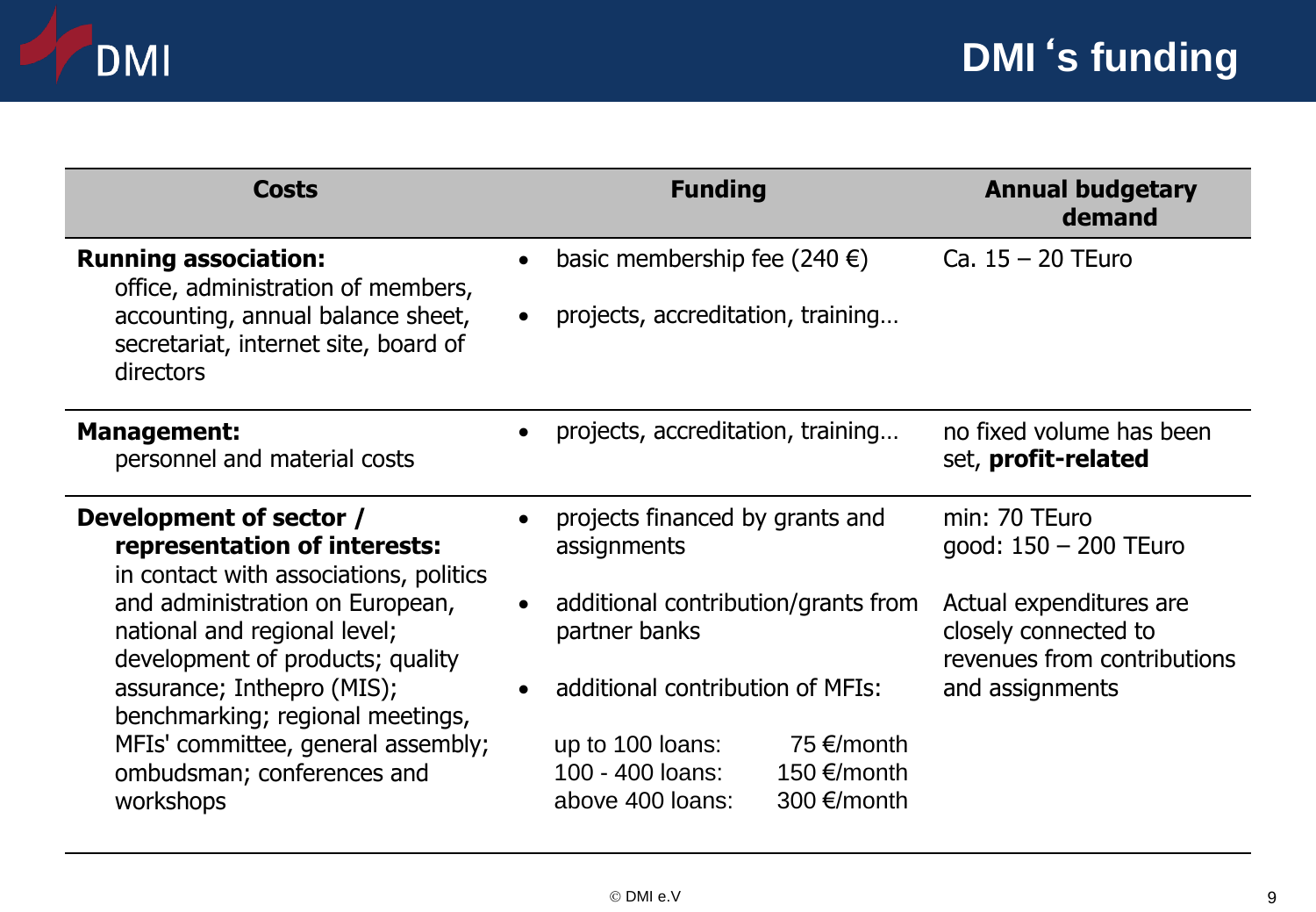

| <b>Costs</b>                                                                                                                                                                                                                                                               | <b>Funding</b>                                                                                                 | <b>Annual budgetary</b><br>demand                                              |
|----------------------------------------------------------------------------------------------------------------------------------------------------------------------------------------------------------------------------------------------------------------------------|----------------------------------------------------------------------------------------------------------------|--------------------------------------------------------------------------------|
| <b>Running association:</b><br>office, administration of members,<br>accounting, annual balance sheet,<br>secretariat, internet site, board of<br><b>directors</b>                                                                                                         | basic membership fee (240 $\epsilon$ )<br>projects, accreditation, training                                    | Ca. $15 - 20$ TEuro                                                            |
| <b>Management:</b><br>personnel and material costs                                                                                                                                                                                                                         | projects, accreditation, training                                                                              | no fixed volume has been<br>set, profit-related                                |
| Development of sector /<br>representation of interests:<br>in contact with associations, politics<br>and administration on European,<br>national and regional level;<br>development of products; quality<br>assurance; Inthepro (MIS);<br>benchmarking; regional meetings, | projects financed by grants and<br>assignments                                                                 | min: 70 TEuro<br>good: 150 - 200 TEuro                                         |
|                                                                                                                                                                                                                                                                            | additional contribution/grants from<br>partner banks                                                           | Actual expenditures are<br>closely connected to<br>revenues from contributions |
|                                                                                                                                                                                                                                                                            | additional contribution of MFIs:                                                                               | and assignments                                                                |
| MFIs' committee, general assembly;<br>ombudsman; conferences and<br>workshops                                                                                                                                                                                              | 75 $\epsilon$ /month<br>up to 100 loans:<br>100 - 400 loans:<br>150 €/month<br>300 €/month<br>above 400 loans: |                                                                                |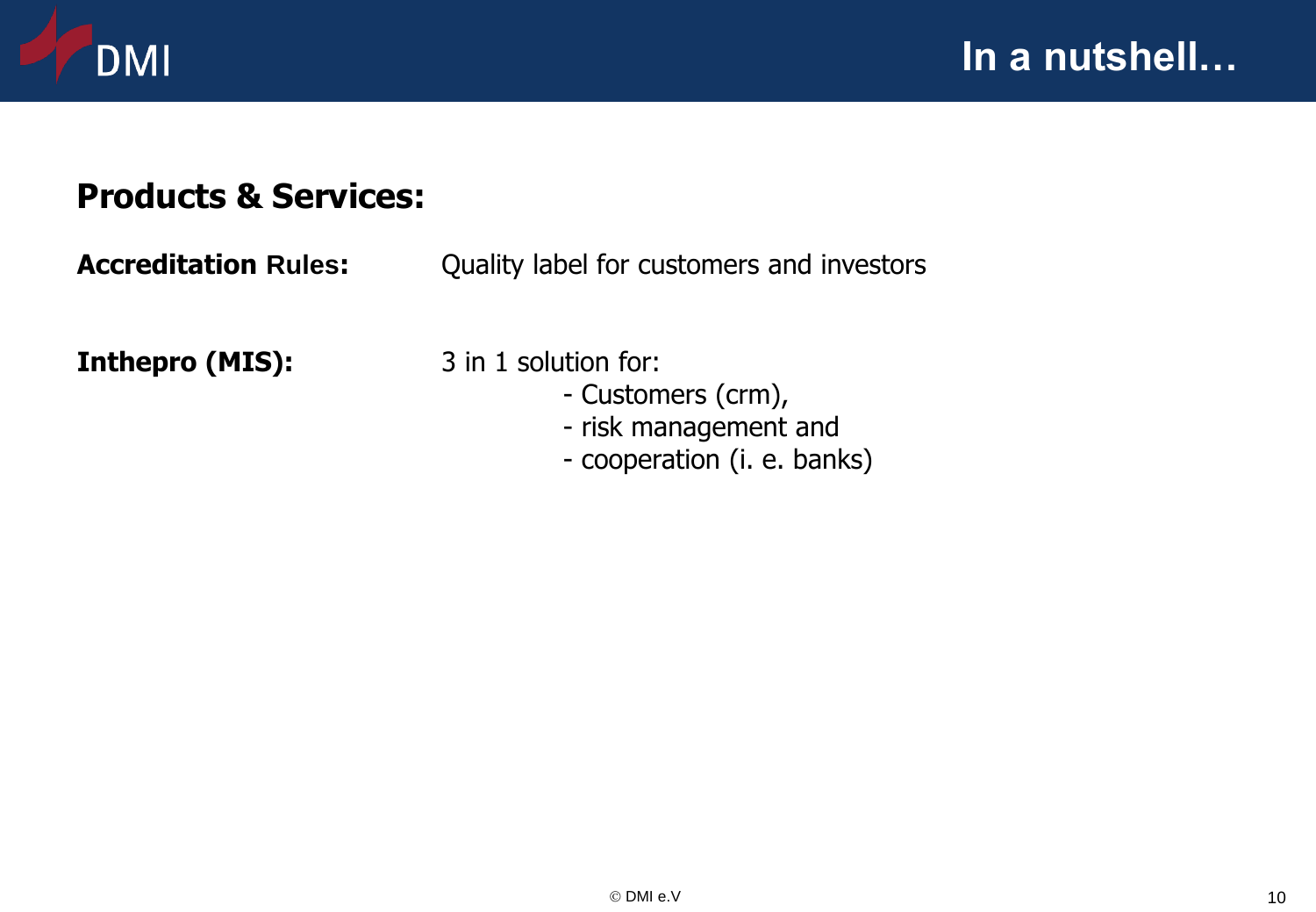

## **Products & Services:**

**Accreditation Rules:** Quality label for customers and investors

**Inthepro (MIS):** 3 in 1 solution for:

- - Customers (crm),
	- risk management and
	- cooperation (i. e. banks)